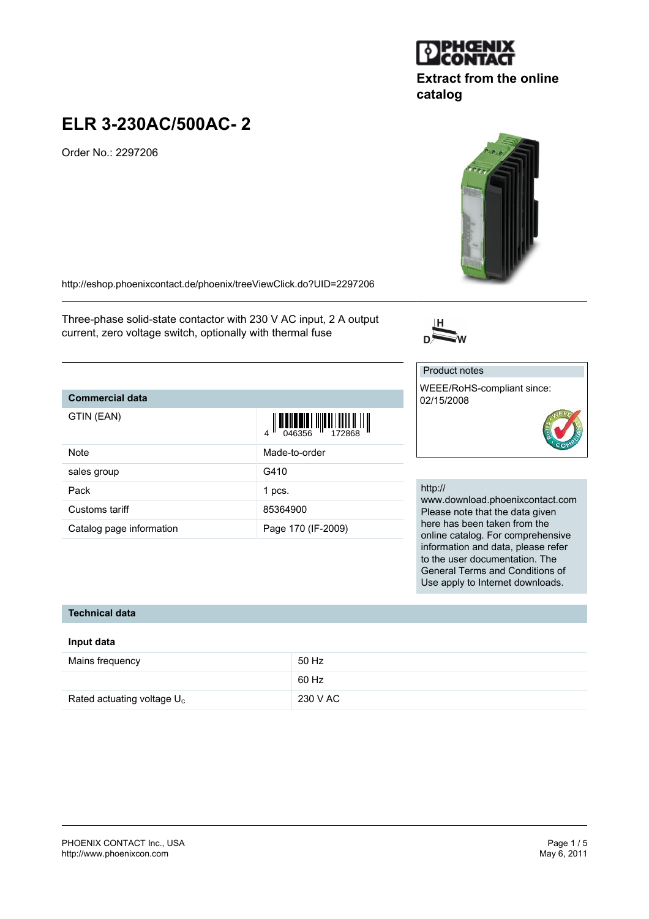#### PHOENIX CONTACT Inc., USA Page 1 / 5<br>
http://www.phoenixcon.com<br>
May 6, 2011 <http://www.phoenixcon.com>

# **ELR 3-230AC/500AC- 2**

Order No.: 2297206

<http://eshop.phoenixcontact.de/phoenix/treeViewClick.do?UID=2297206>

Three-phase solid-state contactor with 230 V AC input, 2 A output current, zero voltage switch, optionally with thermal fuse

#### **Commercial data**

| GTIN (EAN)               | $\left\  \prod_{0.46356} \left\  \prod_{1.72868} \right\  \right\ $ |
|--------------------------|---------------------------------------------------------------------|
| Note                     | Made-to-order                                                       |
| sales group              | G410                                                                |
| Pack                     | 1 pcs.                                                              |
| Customs tariff           | 85364900                                                            |
| Catalog page information | Page 170 (IF-2009)                                                  |

### http://

Product notes

02/15/2008

WEEE/RoHS-compliant since:

www.download.phoenixcontact.com Please note that the data given here has been taken from the online catalog. For comprehensive information and data, please refer to the user documentation. The General Terms and Conditions of Use apply to Internet downloads.

#### **Technical data**

#### **Input data**

| Mains frequency               | 50 Hz    |
|-------------------------------|----------|
|                               | 60 Hz    |
| Rated actuating voltage $U_c$ | 230 V AC |



**catalog**

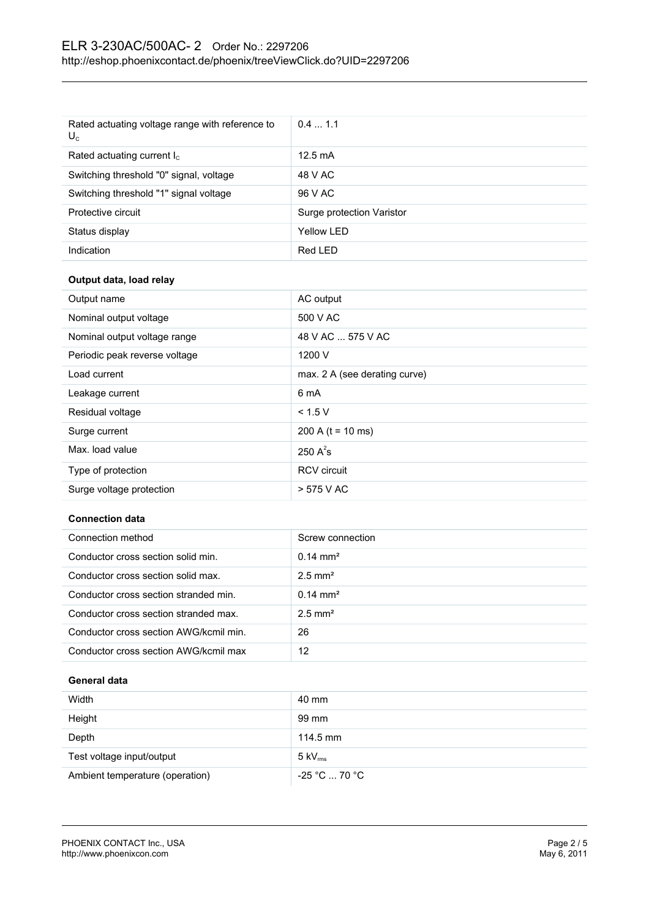| Rated actuating voltage range with reference to<br>$U_c$ | 0.41.1                    |
|----------------------------------------------------------|---------------------------|
| Rated actuating current $I_c$                            | $12.5 \text{ mA}$         |
| Switching threshold "0" signal, voltage                  | 48 V AC                   |
| Switching threshold "1" signal voltage                   | 96 V AC                   |
| Protective circuit                                       | Surge protection Varistor |
| Status display                                           | Yellow LED                |
| Indication                                               | Red LED                   |

#### **Output data, load relay**

| Output name                   | AC output                     |
|-------------------------------|-------------------------------|
| Nominal output voltage        | 500 V AC                      |
| Nominal output voltage range  | 48 V AC  575 V AC             |
| Periodic peak reverse voltage | 1200 V                        |
| Load current                  | max. 2 A (see derating curve) |
| Leakage current               | 6 mA                          |
| Residual voltage              | < 1.5 V                       |
| Surge current                 | 200 A ( $t = 10$ ms)          |
| Max. load value               | 250 $A^2$ s                   |
| Type of protection            | <b>RCV</b> circuit            |
| Surge voltage protection      | > 575 V AC                    |

#### **Connection data**

| Connection method                      | Screw connection      |
|----------------------------------------|-----------------------|
| Conductor cross section solid min.     | $0.14 \text{ mm}^2$   |
| Conductor cross section solid max.     | $2.5$ mm <sup>2</sup> |
| Conductor cross section stranded min.  | $0.14 \text{ mm}^2$   |
| Conductor cross section stranded max.  | $2.5$ mm <sup>2</sup> |
| Conductor cross section AWG/kcmil min. | 26                    |
| Conductor cross section AWG/kcmil max  | 12                    |

### **General data**

| Width                           | 40 mm                        |
|---------------------------------|------------------------------|
| Height                          | 99 mm                        |
| Depth                           | $114.5 \text{ mm}$           |
| Test voltage input/output       | $5 \text{ kV}_{\text{rms}}$  |
| Ambient temperature (operation) | $-25$ °C $\ldots$ 70 °C $\,$ |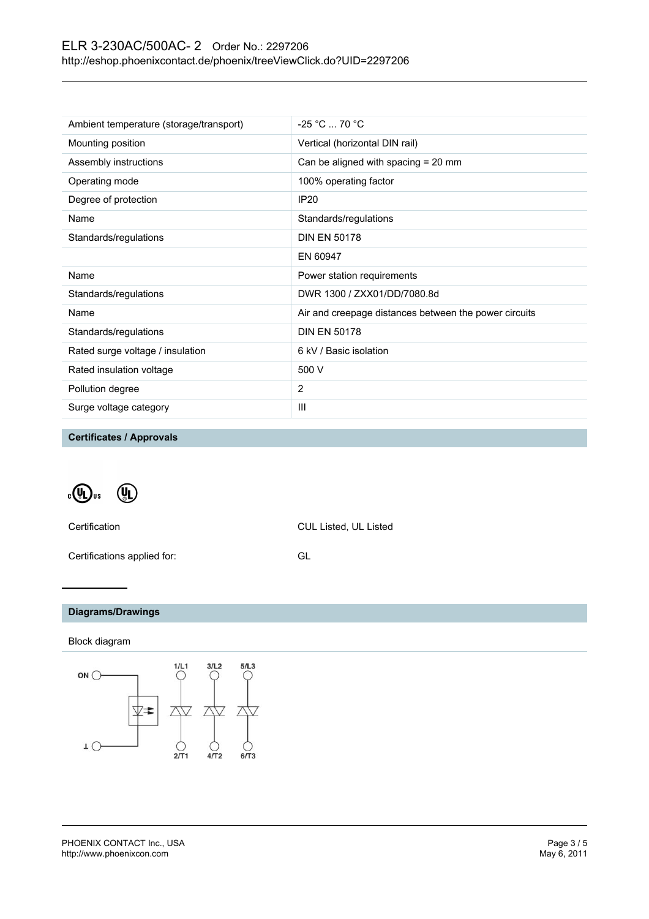## ELR 3-230AC/500AC- 2 Order No.: 2297206 <http://eshop.phoenixcontact.de/phoenix/treeViewClick.do?UID=2297206>

| Ambient temperature (storage/transport) | $-25 °C  70 °C$                                       |
|-----------------------------------------|-------------------------------------------------------|
| Mounting position                       | Vertical (horizontal DIN rail)                        |
| Assembly instructions                   | Can be aligned with spacing = 20 mm                   |
| Operating mode                          | 100% operating factor                                 |
| Degree of protection                    | <b>IP20</b>                                           |
| Name                                    | Standards/regulations                                 |
| Standards/regulations                   | <b>DIN EN 50178</b>                                   |
|                                         | EN 60947                                              |
| Name                                    | Power station requirements                            |
| Standards/regulations                   | DWR 1300 / ZXX01/DD/7080.8d                           |
| Name                                    | Air and creepage distances between the power circuits |
| Standards/regulations                   | <b>DIN EN 50178</b>                                   |
| Rated surge voltage / insulation        | 6 kV / Basic isolation                                |
| Rated insulation voltage                | 500 V                                                 |
| Pollution degree                        | 2                                                     |
| Surge voltage category                  | Ш                                                     |
|                                         |                                                       |

**Certificates / Approvals**

 $_{c}$  (Ii)  $\left( \mathbb{I} \right)$ 

Certification CUL Listed, UL Listed

Certifications applied for: GL

## **Diagrams/Drawings**

Block diagram

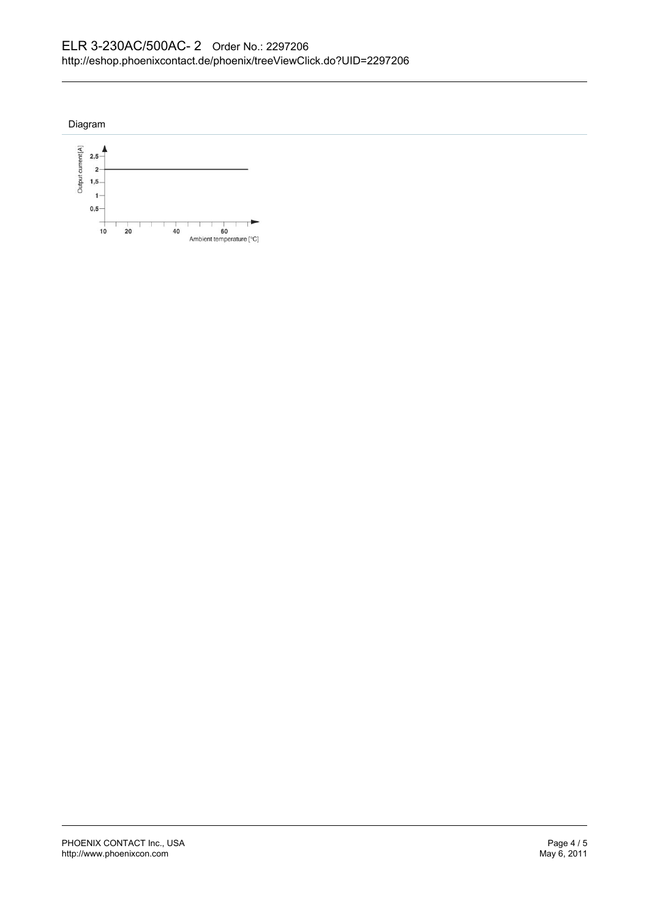